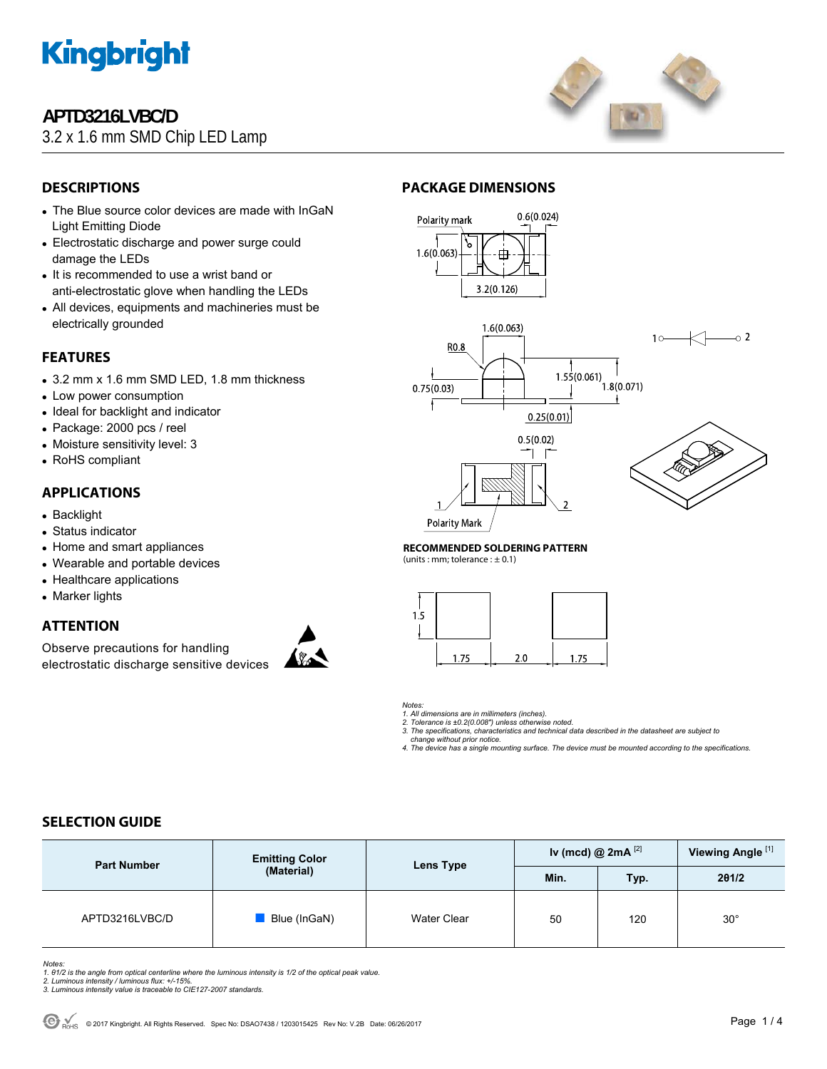

# **APTD3216LVBC/D**

3.2 x 1.6 mm SMD Chip LED Lamp



# **DESCRIPTIONS**

- The Blue source color devices are made with InGaN Light Emitting Diode
- Electrostatic discharge and power surge could damage the LEDs
- It is recommended to use a wrist band or anti-electrostatic glove when handling the LEDs
- All devices, equipments and machineries must be electrically grounded

### **FEATURES**

- 3.2 mm x 1.6 mm SMD LED, 1.8 mm thickness
- Low power consumption
- Ideal for backlight and indicator
- Package: 2000 pcs / reel
- Moisture sensitivity level: 3
- RoHS compliant

### **APPLICATIONS**

- Backlight
- Status indicator
- Home and smart appliances
- Wearable and portable devices
- Healthcare applications
- Marker lights

### **ATTENTION**

Observe precautions for handling electrostatic discharge sensitive devices



### **PACKAGE DIMENSIONS**







**Polarity Mark** 

### **RECOMMENDED SOLDERING PATTERN**

(units : mm; tolerance :  $\pm$  0.1)



*Notes:* 

*1. All dimensions are in millimeters (inches). 2. Tolerance is ±0.2(0.008") unless otherwise noted.* 

*3. The specifications, characteristics and technical data described in the datasheet are subject to* 

 *change without prior notice. 4. The device has a single mounting surface. The device must be mounted according to the specifications.* 

### **SELECTION GUIDE**

| <b>Part Number</b> | <b>Emitting Color</b><br>(Material) | Lens Type   | Iv (mcd) @ $2mA$ <sup>[2]</sup> |      | Viewing Angle <sup>[1]</sup> |
|--------------------|-------------------------------------|-------------|---------------------------------|------|------------------------------|
|                    |                                     |             | Min.                            | Typ. | 201/2                        |
| APTD3216LVBC/D     | Blue (InGaN)                        | Water Clear | 50                              | 120  | $30^{\circ}$                 |

*Notes:* 

*1. θ1/2 is the angle from optical centerline where the luminous intensity is 1/2 of the optical peak value. 2. Luminous intensity / luminous flux: +/-15%.* 

*3. Luminous intensity value is traceable to CIE127-2007 standards.*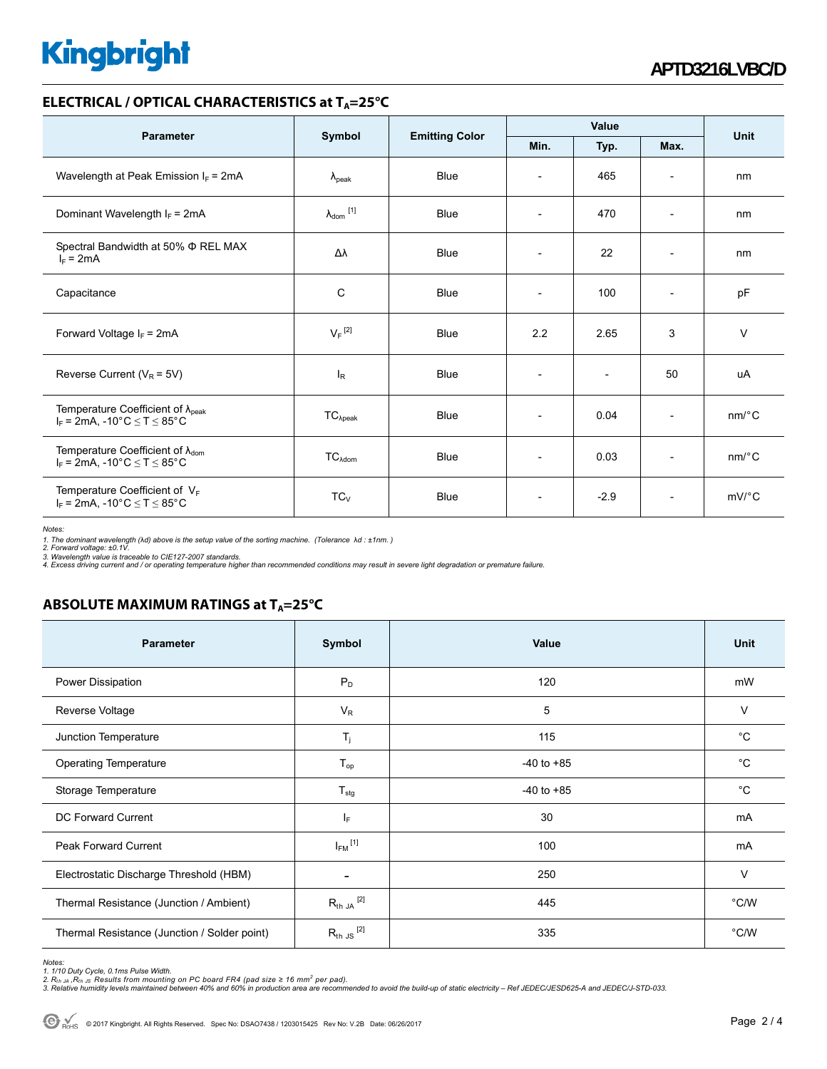# **Kingbright**

### **ELECTRICAL / OPTICAL CHARACTERISTICS at T<sub>A</sub>=25°C**

| <b>Parameter</b>                                                                             | Symbol                     | <b>Emitting Color</b> | <b>Value</b>             |                          |                          | <b>Unit</b>           |
|----------------------------------------------------------------------------------------------|----------------------------|-----------------------|--------------------------|--------------------------|--------------------------|-----------------------|
|                                                                                              |                            |                       | Min.                     | Typ.                     | Max.                     |                       |
| Wavelength at Peak Emission $I_F$ = 2mA                                                      | $\lambda_{\rm peak}$       | Blue                  | $\overline{\phantom{a}}$ | 465                      | $\overline{\phantom{a}}$ | nm                    |
| Dominant Wavelength $I_F = 2mA$                                                              | $\lambda_{\text{dom}}$ [1] | <b>Blue</b>           | $\overline{\phantom{0}}$ | 470                      | $\overline{\phantom{a}}$ | nm                    |
| Spectral Bandwidth at 50% $\Phi$ REL MAX<br>$I_F = 2mA$                                      | Δλ                         | <b>Blue</b>           | $\overline{\phantom{a}}$ | 22                       | $\overline{\phantom{a}}$ | nm                    |
| Capacitance                                                                                  | C                          | <b>Blue</b>           |                          | 100                      | $\overline{a}$           | pF                    |
| Forward Voltage $I_F$ = 2mA                                                                  | $V_F$ <sup>[2]</sup>       | <b>Blue</b>           | 2.2                      | 2.65                     | 3                        | $\vee$                |
| Reverse Current ( $V_R$ = 5V)                                                                | $I_R$                      | <b>Blue</b>           |                          | $\overline{\phantom{a}}$ | 50                       | uA                    |
| Temperature Coefficient of $\lambda_{peak}$<br>$I_F = 2mA$ , -10°C $\le T \le 85$ °C         | $TC_{\lambda peak}$        | Blue                  | $\overline{\phantom{a}}$ | 0.04                     | $\overline{\phantom{a}}$ | $nm$ /°C              |
| Temperature Coefficient of $\lambda_{\text{dom}}$<br>$I_F$ = 2mA, -10°C $\leq$ T $\leq$ 85°C | $TC_{\text{Adom}}$         | Blue                  |                          | 0.03                     | $\overline{a}$           | $nm$ <sup>o</sup> $C$ |
| Temperature Coefficient of $V_F$<br>$I_F = 2mA$ , -10°C $\le T \le 85$ °C                    | $TC_{V}$                   | <b>Blue</b>           | $\overline{\phantom{a}}$ | $-2.9$                   | $\overline{\phantom{a}}$ | $mV$ °C               |

*Notes:* 

1. The dominant wavelength (λd) above is the setup value of the sorting machine. (Tolerance λd : ±1nm. )<br>2. Forward voltage: ±0.1V.<br>3. Wavelength value is traceable to CIE127-2007 standards.<br>4. Excess driving current and

## **ABSOLUTE MAXIMUM RATINGS at T<sub>A</sub>=25°C**

| <b>Parameter</b>                             | Symbol                  | Value          | Unit          |
|----------------------------------------------|-------------------------|----------------|---------------|
| Power Dissipation                            | $P_D$                   | 120            | mW            |
| Reverse Voltage                              | $V_R$                   | 5              | v             |
| Junction Temperature                         | $T_j$                   | 115            | $^{\circ}C$   |
| <b>Operating Temperature</b>                 | $T_{op}$                | $-40$ to $+85$ | °C            |
| Storage Temperature                          | $T_{\text{stg}}$        | $-40$ to $+85$ | °C            |
| DC Forward Current                           | IF.                     | 30             | mA            |
| <b>Peak Forward Current</b>                  | $I_{FM}$ <sup>[1]</sup> | 100            | mA            |
| Electrostatic Discharge Threshold (HBM)      | -                       | 250            | $\vee$        |
| Thermal Resistance (Junction / Ambient)      | $R_{th}$ ja $^{[2]}$    | 445            | $\degree$ C/W |
| Thermal Resistance (Junction / Solder point) | $R_{th}$ JS $^{[2]}$    | 335            | $\degree$ C/W |

*Notes:* 

1. 1/10 Duty Cycle, 0.1ms Pulse Width.<br>2. R<sub>th Ju</sub> ,R<sub>h JS</sub> Results from mounting on PC board FR4 (pad size ≥ 16 mm² per pad).<br>3. Relative humidity levels maintained between 40% and 60% in production area are recommended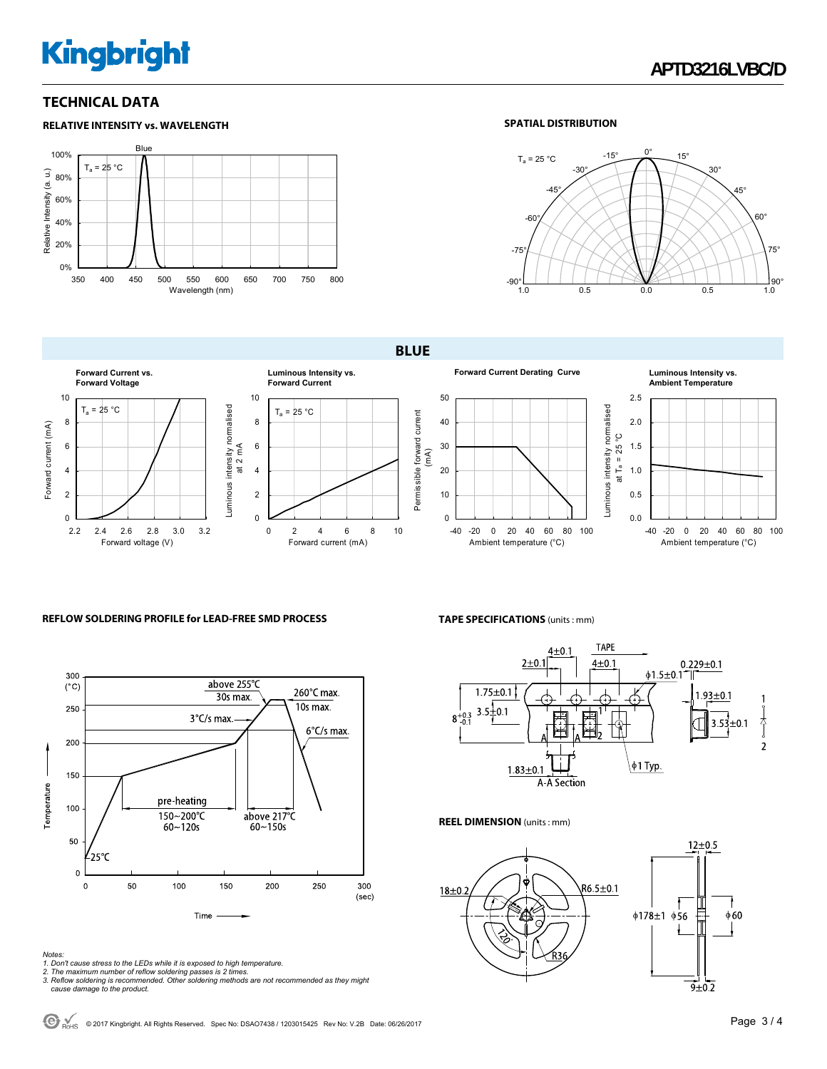# **Kingbright**

**RELATIVE INTENSITY vs. WAVELENGTH**

### **TECHNICAL DATA**

### Blue 100%  $T_a = 25 °C$ Relative Intensity (a. u.) Relative Intensity (a. u.) 80% 60% 40% 20% 0% 350 400 450 500 550 600 650 700 750 800 Wavelength (nm)

### **SPATIAL DISTRIBUTION**



**BLUE** 



### **REFLOW SOLDERING PROFILE for LEAD-FREE SMD PROCESS**



#### *Notes:*

- 
- 1. Don't cause stress to the LEDs while it is exposed to high temperature.<br>2. The maximum number of reflow soldering passes is 2 times.<br>3. Reflow soldering is recommended. Other soldering methods are not recommended as the

**TAPE SPECIFICATIONS** (units : mm)



**REEL DIMENSION** (units : mm)